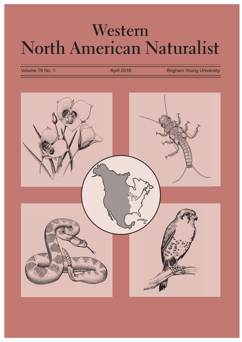## **Western North American Naturalist**

Volume 78 No. 1 **April 2018** April 2018 Brigham Young University